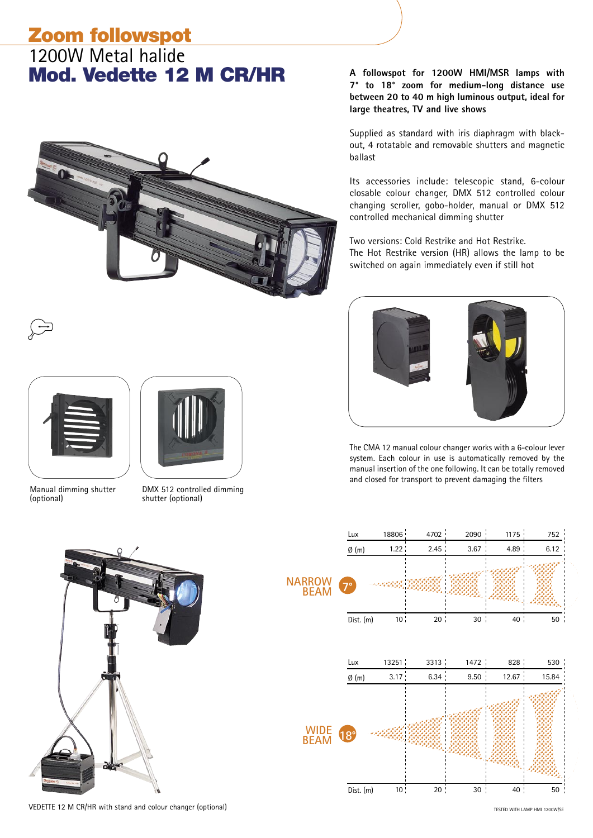### Zoom followspot 1200W Metal halide

# Mod. Vedette 12 M CR/HR



DMX 512 controlled dimming

shutter (optional)

**A followspot for 1200W HMI/MSR lamps with 7° to 18° zoom for medium-long distance use between 20 to 40 m high luminous output, ideal for large theatres, TV and live shows**

Supplied as standard with iris diaphragm with blackout, 4 rotatable and removable shutters and magnetic ballast

Its accessories include: telescopic stand, 6-colour closable colour changer, DMX 512 controlled colour changing scroller, gobo-holder, manual or DMX 512 controlled mechanical dimming shutter

Two versions: Cold Restrike and Hot Restrike. The Hot Restrike version (HR) allows the lamp to be switched on again immediately even if still hot



The CMA 12 manual colour changer works with a 6-colour lever system. Each colour in use is automatically removed by the manual insertion of the one following. It can be totally removed and closed for transport to prevent damaging the filters



Manual dimming shutter

(optional)



VEDETTE 12 M CR/HR with stand and colour changer (optional)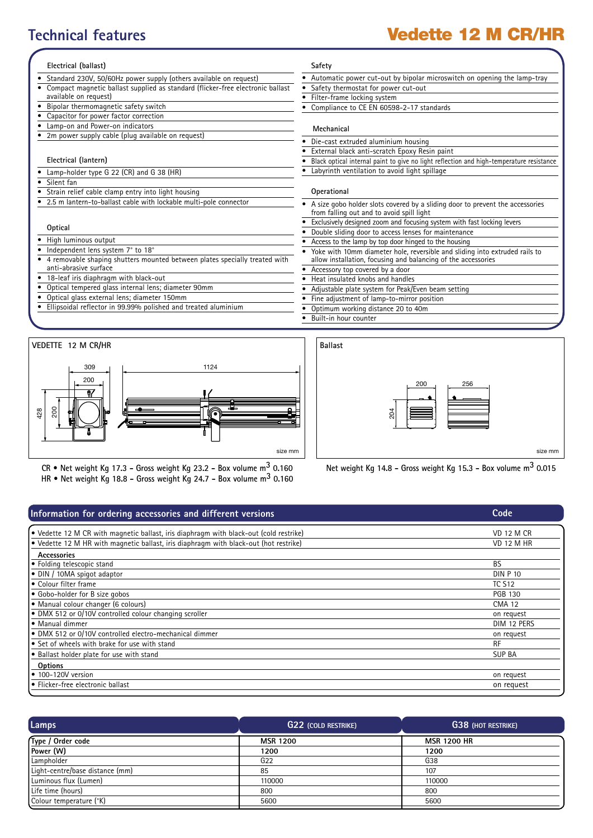## **Technical features** Vedette 12 M CR/HR

#### **Electrical (ballast)**

- Standard 230V, 50/60Hz power supply (others available on request)
- Compact magnetic ballast supplied as standard (flicker-free electronic ballast
- available on request)
- Bipolar thermomagnetic safety switch
- Capacitor for power factor correction
- Lamp-on and Power-on indicators
- 2m power supply cable (plug available on request)

#### **Electrical (lantern)**

- Lamp-holder type G 22 (CR) and G 38 (HR)
- Silent fan
- Strain relief cable clamp entry into light housing
- 2.5 m lantern-to-ballast cable with lockable multi-pole connector

#### **Optical**

- High luminous output
- Independent lens system 7° to 18°
- 4 removable shaping shutters mounted between plates specially treated with anti-abrasive surface
- 18-leaf iris diaphragm with black-out
- Optical tempered glass internal lens; diameter 90mm
- Optical glass external lens; diameter 150mm
- Ellipsoidal reflector in 99.99% polished and treated aluminium



**CR • Net weight Kg 17.3 - Gross weight Kg 23.2 - Box volume m3 0.160 HR • Net weight Kg 18.8 - Gross weight Kg 24.7 - Box volume m3 0.160**

### **Safety**

- Automatic power cut-out by bipolar microswitch on opening the lamp-tray
- Safety thermostat for power cut-out
	- Filter-frame locking system
- Compliance to CE EN 60598-2-17 standards

#### **Mechanical**

- Die-cast extruded aluminium housing
- External black anti-scratch Epoxy Resin paint
- Black optical internal paint to give no light reflection and high-temperature resistance
- Labyrinth ventilation to avoid light spillage

#### **Operational**

- A size gobo holder slots covered by a sliding door to prevent the accessories from falling out and to avoid spill light
- Exclusively designed zoom and focusing system with fast locking levers
- Double sliding door to access lenses for maintenance
- Access to the lamp by top door hinged to the housing
- Yoke with 10mm diameter hole, reversible and sliding into extruded rails to allow installation, focusing and balancing of the accessories
- Accessory top covered by a door
- Heat insulated knobs and handles
	- Adjustable plate system for Peak/Even beam setting
	- Fine adjustment of lamp-to-mirror position
- Optimum working distance 20 to 40m
- Built-in hour counter
- $200$   $1$   $1$   $256$ 204 **Ballast** size mm size mm size mm size mm size mm size mm size mm size mm size mm size mm size mm

#### **Information for ordering accessories and different versions** • Vedette 12 M CR with magnetic ballast, iris diaphragm with black-out (cold restrike) Vedette 12 M CR VD 12 M CR • Vedette 12 M HR with magnetic ballast, iris diaphragm with black-out (hot restrike) VD 12 M HR  **Accessories** • Folding telescopic stand BS<br>• DIN / 10MA spigot adaptor and both control by the set of the set of the set of the set of the set of the set of the set of the set of the set of the set of the set of the set of the set of t • DIN / 10MA spigot adaptor DIN P 1 DIN P 1 DIN P 1 DIN P 1 DIN P 1  $\bullet$  Colour filter frame • Gobo-holder for B size gobos PGB 130 • Manual colour changer (6 colours) CMA 12 • DMX 512 or 0/10V controlled colour changing scroller on request • Manual dimmer DIM 12 PERS • DMX 512 or 0/10V controlled electro-mechanical dimmer on request • Set of wheels with brake for use with stand RF • Ballast holder plate for use with stand SUP BA  **Options** • 100-120V version on request • Flicker-free electronic ballast on request **Code**

| Lamps                           | <b>G22 (COLD RESTRIKE)</b> | <b>G38 (HOT RESTRIKE)</b> |
|---------------------------------|----------------------------|---------------------------|
| Type / Order code               | <b>MSR 1200</b>            | <b>MSR 1200 HR</b>        |
| Power (W)                       | 1200                       | 1200                      |
| Lampholder                      | G22                        | G38                       |
| Light-centre/base distance (mm) | 85                         | 107                       |
| Luminous flux (Lumen)           | 110000                     | 110000                    |
| Life time (hours)               | 800                        | 800                       |
| Colour temperature (°K)         | 5600                       | 5600                      |
|                                 |                            |                           |

**Net weight Kg 14.8 - Gross weight Kg 15.3 - Box volume m3 0.015**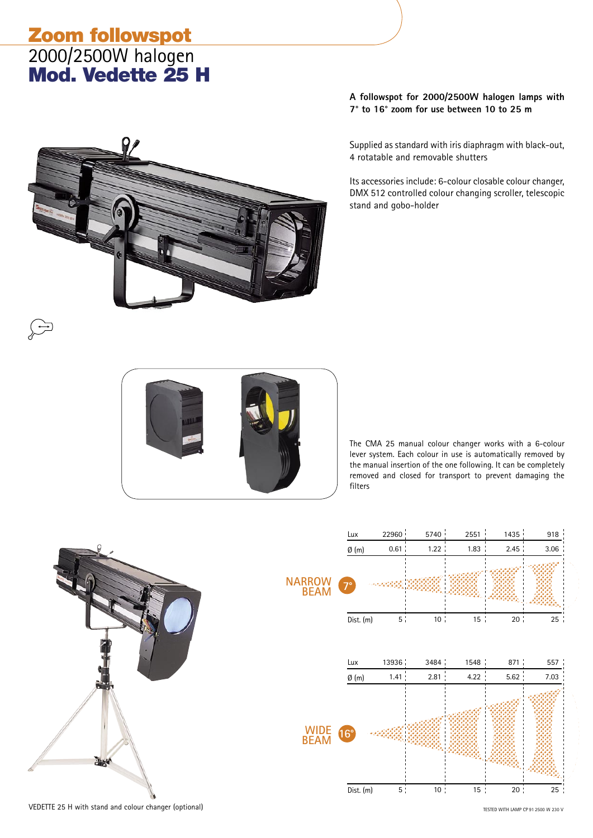## Zoom followspot 2000/2500W halogen Mod. Vedette 25 H



**A followspot for 2000/2500W halogen lamps with 7° to 16° zoom for use between 10 to 25 m** 

Supplied as standard with iris diaphragm with black-out, 4 rotatable and removable shutters

Its accessories include: 6-colour closable colour changer, DMX 512 controlled colour changing scroller, telescopic stand and gobo-holder



The CMA 25 manual colour changer works with a 6-colour lever system. Each colour in use is automatically removed by the manual insertion of the one following. It can be completely removed and closed for transport to prevent damaging the filters



VEDETTE 25 H with stand and colour changer (optional)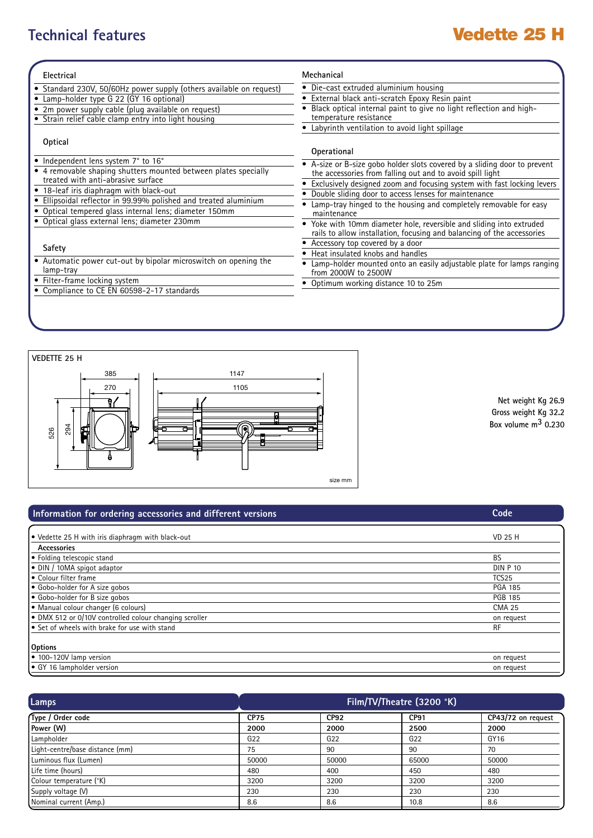## **Technical features Vedette 25 H**

| Electrical                                                                                                                 | Mechanical                                                                                                                                   |
|----------------------------------------------------------------------------------------------------------------------------|----------------------------------------------------------------------------------------------------------------------------------------------|
| • Standard 230V, 50/60Hz power supply (others available on request)                                                        | • Die-cast extruded aluminium housing                                                                                                        |
| • Lamp-holder type G 22 (GY 16 optional)                                                                                   | External black anti-scratch Epoxy Resin paint                                                                                                |
| • 2m power supply cable (plug available on request)<br>• Strain relief cable clamp entry into light housing                | Black optical internal paint to give no light reflection and high-<br>temperature resistance                                                 |
|                                                                                                                            | Labyrinth ventilation to avoid light spillage                                                                                                |
| Optical                                                                                                                    | Operational                                                                                                                                  |
| • Independent lens system 7° to 16°<br>• 4 removable shaping shutters mounted between plates specially                     | A-size or B-size gobo holder slots covered by a sliding door to prevent<br>the accessories from falling out and to avoid spill light         |
| treated with anti-abrasive surface                                                                                         | Exclusively designed zoom and focusing system with fast locking levers                                                                       |
| • 18-leaf iris diaphragm with black-out                                                                                    | Double sliding door to access lenses for maintenance                                                                                         |
| • Ellipsoidal reflector in 99.99% polished and treated aluminium<br>• Optical tempered glass internal lens; diameter 150mm | Lamp-tray hinged to the housing and completely removable for easy<br>maintenance                                                             |
| · Optical glass external lens; diameter 230mm                                                                              | Yoke with 10mm diameter hole, reversible and sliding into extruded<br>rails to allow installation, focusing and balancing of the accessories |
|                                                                                                                            | Accessory top covered by a door                                                                                                              |
| Safety                                                                                                                     | Heat insulated knobs and handles                                                                                                             |
| • Automatic power cut-out by bipolar microswitch on opening the<br>lamp-tray                                               | Lamp-holder mounted onto an easily adjustable plate for lamps ranging<br>from 2000W to 2500W                                                 |
| • Filter-frame locking system                                                                                              | Optimum working distance 10 to 25m                                                                                                           |
| • Compliance to CE EN 60598-2-17 standards                                                                                 |                                                                                                                                              |



**Net weight Kg 26.9 Gross weight Kg 32.2 Box volume m3 0.230**

**Code**

### **Information for ordering accessories and different versions**

| ● Vedette 25 H with iris diaphragm with black-out      | <b>VD 25 H</b>    |
|--------------------------------------------------------|-------------------|
| Accessories                                            |                   |
| • Folding telescopic stand                             | <b>BS</b>         |
| • DIN / 10MA spigot adaptor                            | <b>DIN P 10</b>   |
| l• Colour filter frame                                 | TCS <sub>25</sub> |
| Gobo-holder for A size gobos                           | <b>PGA 185</b>    |
| Gobo-holder for B size gobos                           | <b>PGB 185</b>    |
| Manual colour changer (6 colours)                      | <b>CMA 25</b>     |
| • DMX 512 or 0/10V controlled colour changing scroller | on request        |
| Set of wheels with brake for use with stand            | <b>RF</b>         |
|                                                        |                   |
| Options                                                |                   |
| $\bullet$ 100-120V lamp version                        | on request        |
| <b>•</b> GY 16 lampholder version                      | on request        |

| Lamps                           | Film/TV/Theatre (3200 °K) |                 |                  |                    |
|---------------------------------|---------------------------|-----------------|------------------|--------------------|
| Type / Order code               | <b>CP75</b>               | <b>CP92</b>     | CP <sub>91</sub> | CP43/72 on request |
| Power (W)                       | 2000                      | 2000            | 2500             | 2000               |
| Lampholder                      | G <sub>22</sub>           | G <sub>22</sub> | G <sub>22</sub>  | GY16               |
| Light-centre/base distance (mm) | 75                        | 90              | 90               | 70                 |
| Luminous flux (Lumen)           | 50000                     | 50000           | 65000            | 50000              |
| Life time (hours)               | 480                       | 400             | 450              | 480                |
| Colour temperature (°K)         | 3200                      | 3200            | 3200             | 3200               |
| Supply voltage (V)              | 230                       | 230             | 230              | 230                |
| Nominal current (Amp.)          | 8.6                       | 8.6             | 10.8             | 8.6                |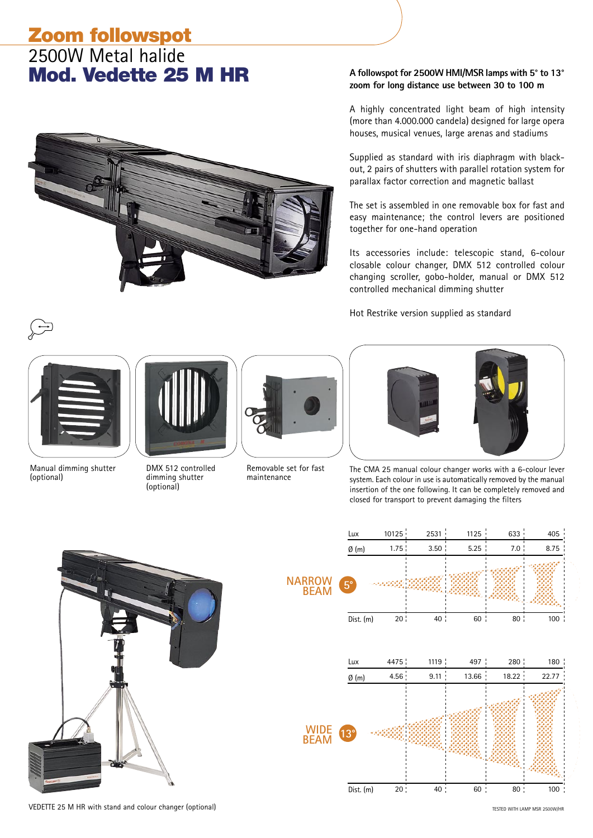### Zoom followspot 2500W Metal halide Mod. Vedette 25 M HR



### **A followspot for 2500W HMI/MSR lamps with 5° to 13° zoom for long distance use between 30 to 100 m**

A highly concentrated light beam of high intensity (more than 4.000.000 candela) designed for large opera houses, musical venues, large arenas and stadiums

Supplied as standard with iris diaphragm with blackout, 2 pairs of shutters with parallel rotation system for parallax factor correction and magnetic ballast

The set is assembled in one removable box for fast and easy maintenance; the control levers are positioned together for one-hand operation

Its accessories include: telescopic stand, 6-colour closable colour changer, DMX 512 controlled colour changing scroller, gobo-holder, manual or DMX 512 controlled mechanical dimming shutter

Hot Restrike version supplied as standard



Manual dimming shutter (optional)



DMX 512 controlled dimming shutter (optional)



Removable set for fast maintenance



The CMA 25 manual colour changer works with a 6-colour lever system. Each colour in use is automatically removed by the manual insertion of the one following. It can be completely removed and closed for transport to prevent damaging the filters



**5°** Lux 100126 2010 2533 2010 10125 2010 2533 2033 2040 5 1.75 3.50 5.25 7.0 8.75 20 40 60 80 100  $Ø(m)$ Dist. (m) **NARROW BEAM 13°** Lux 4475 1119 497 280 180 4.56 9.11 13.66 18.22 22.77 20 50 50 60 60 80 80 80 80 80 80 80 Ø (m) Dist. (m) **WIDE BEAM**

VEDETTE 25 M HR with stand and colour changer (optional)

TESTED WITH LAMP MSR 2500W/HR